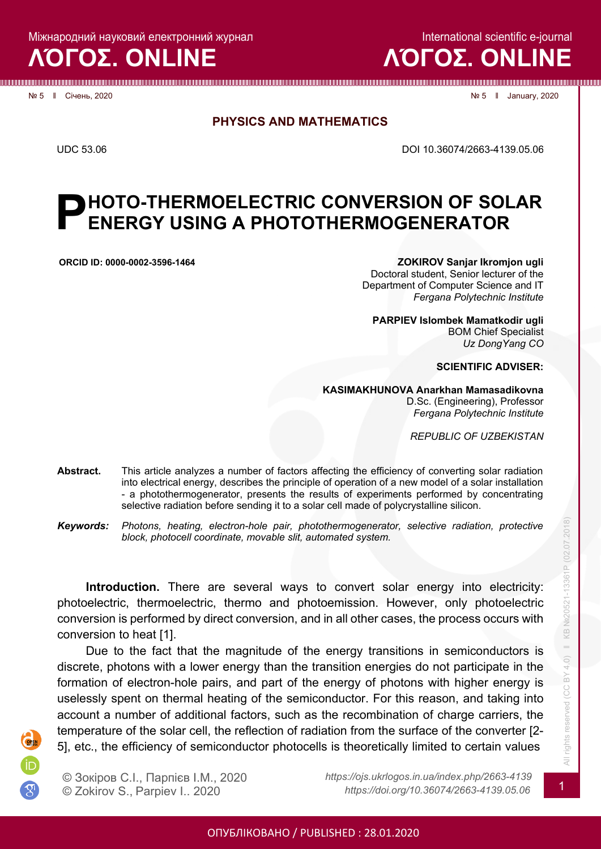Міжнародний науковий електронний журнал

**ΛΌГOΣ. ONLINE**

International scientific e-journal

# **ΛΌГOΣ. ONLINE**

№ 5 ‖ Січень, 2020 № 5 ‖ January, 2020

**PHYSICS AND MATHEMATICS**

UDC 53.06 DOI 10.36074/2663-4139.05.06

### **HOTO-THERMOELECTRIC CONVERSION OF SOLAR ENERGY USING A PHOTOTHERMOGENERATOR Р**

**ORCID ID: [0000-0002-3596-1464](https://orcid.org/0000-0002-3596-1464) ZOKIROV Sanjar Ikromjon ugli** Doctoral student, Senior lecturer of the Department of Computer Science and IT *Fergana Polytechnic Institute*

> **PARPIEV Islombek Mamatkodir ugli** BOM Chief Specialist *Uz DongYang CO*

> > **SCIENTIFIC ADVISER:**

**KASIMAKHUNOVA Anarkhan Mamasadikovna**

D.Sc. (Engineering), Professor *Fergana Polytechnic Institute*

*REPUBLIC OF UZBEKISTAN*

- **Abstract.** This article analyzes a number of factors affecting the efficiency of converting solar radiation into electrical energy, describes the principle of operation of a new model of a solar installation - a photothermogenerator, presents the results of experiments performed by concentrating selective radiation before sending it to a solar cell made of polycrystalline silicon.
- *Keywords: Photons, heating, electron-hole pair, photothermogenerator, selective radiation, protective block, photocell coordinate, movable slit, automated system.*

**Introduction.** There are several ways to convert solar energy into electricity: photoelectric, thermoelectric, thermo and photoemission. However, only photoelectric conversion is performed by direct conversion, and in all other cases, the process occurs with conversion to heat [1].

Due to the fact that the magnitude of the energy transitions in semiconductors is discrete, photons with a lower energy than the transition energies do not participate in the formation of electron-hole pairs, and part of the energy of photons with higher energy is uselessly spent on thermal heating of the semiconductor. For this reason, and taking into account a number of additional factors, such as the recombination of charge carriers, the temperature of the solar cell, the reflection of radiation from the surface of the converter [2- 5], etc., the efficiency of semiconductor photocells is theoretically limited to certain values



© Зокіров С.І., Парпієв І.М., 2020 *https://ojs.ukrlogos.in.ua/index.php/2663-4139*

© Zokirov S., Parpiev I.. <sup>2020</sup> *https://doi.org/10.36074/2663-4139.05.06* <sup>1</sup>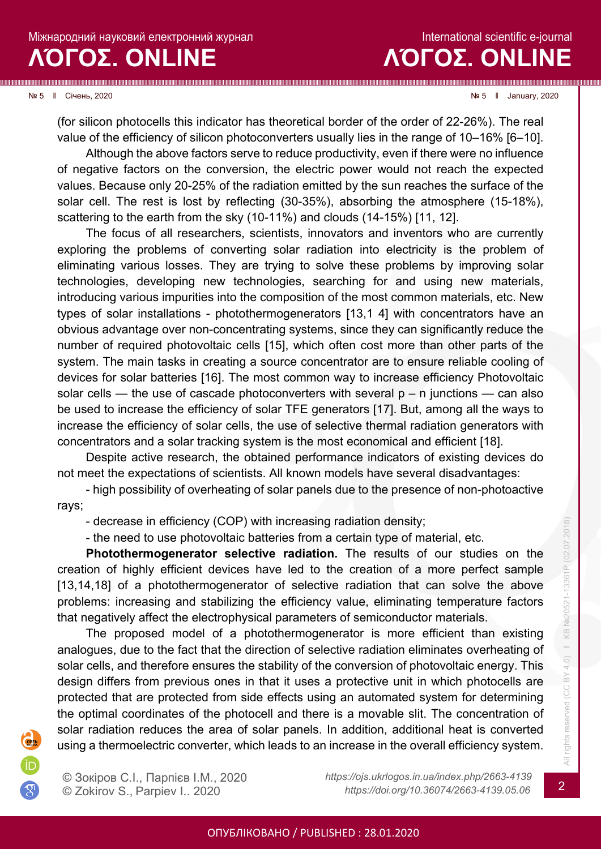**ΛΌГOΣ. ONLINE**

International scientific e-journal

№ 5 ‖ Січень, 2020 № 5 ‖ January, 2020

(for silicon photocells this indicator has theoretical border of the order of 22-26%). The real value of the efficiency of silicon photoconverters usually lies in the range of 10–16% [6–10].

Although the above factors serve to reduce productivity, even if there were no influence of negative factors on the conversion, the electric power would not reach the expected values. Because only 20-25% of the radiation emitted by the sun reaches the surface of the solar cell. The rest is lost by reflecting (30-35%), absorbing the atmosphere (15-18%), scattering to the earth from the sky (10-11%) and clouds (14-15%) [11, 12].

The focus of all researchers, scientists, innovators and inventors who are currently exploring the problems of converting solar radiation into electricity is the problem of eliminating various losses. They are trying to solve these problems by improving solar technologies, developing new technologies, searching for and using new materials, introducing various impurities into the composition of the most common materials, etc. New types of solar installations - photothermogenerators [13,1 4] with concentrators have an obvious advantage over non-concentrating systems, since they can significantly reduce the number of required photovoltaic cells [15], which often cost more than other parts of the system. The main tasks in creating a source concentrator are to ensure reliable cooling of devices for solar batteries [16]. The most common way to increase efficiency Photovoltaic solar cells — the use of cascade photoconverters with several  $p - n$  junctions — can also be used to increase the efficiency of solar TFE generators [17]. But, among all the ways to increase the efficiency of solar cells, the use of selective thermal radiation generators with concentrators and a solar tracking system is the most economical and efficient [18].

Despite active research, the obtained performance indicators of existing devices do not meet the expectations of scientists. All known models have several disadvantages:

- high possibility of overheating of solar panels due to the presence of non-photoactive rays;

- decrease in efficiency (COP) with increasing radiation density;

- the need to use photovoltaic batteries from a certain type of material, etc.

**Photothermogenerator selective radiation.** The results of our studies on the creation of highly efficient devices have led to the creation of a more perfect sample [13,14,18] of a photothermogenerator of selective radiation that can solve the above problems: increasing and stabilizing the efficiency value, eliminating temperature factors that negatively affect the electrophysical parameters of semiconductor materials.

The proposed model of a photothermogenerator is more efficient than existing analogues, due to the fact that the direction of selective radiation eliminates overheating of solar cells, and therefore ensures the stability of the conversion of photovoltaic energy. This design differs from previous ones in that it uses a protective unit in which photocells are protected that are protected from side effects using an automated system for determining the optimal coordinates of the photocell and there is a movable slit. The concentration of solar radiation reduces the area of solar panels. In addition, additional heat is converted using a thermoelectric converter, which leads to an increase in the overall efficiency system.

© Зокіров С.І., Парпієв І.М., 2020 *https://ojs.ukrlogos.in.ua/index.php/2663-4139* © Zokirov S., Parpiev I.. <sup>2020</sup> *https://doi.org/10.36074/2663-4139.05.06* <sup>2</sup>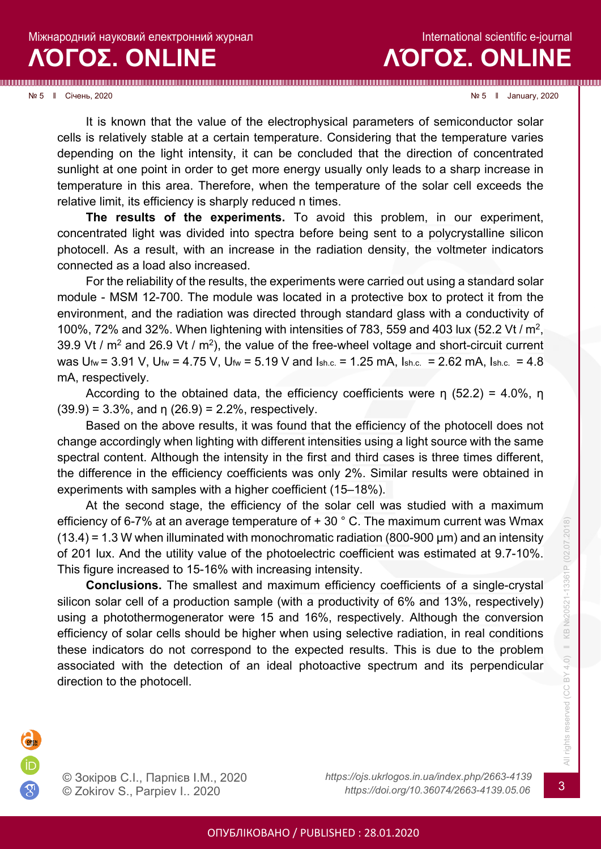International scientific e-journal **ΛΌГOΣ. ONLINE**

#### № 5 ‖ Січень, 2020 № 5 ‖ January, 2020

It is known that the value of the electrophysical parameters of semiconductor solar cells is relatively stable at a certain temperature. Considering that the temperature varies depending on the light intensity, it can be concluded that the direction of concentrated sunlight at one point in order to get more energy usually only leads to a sharp increase in temperature in this area. Therefore, when the temperature of the solar cell exceeds the relative limit, its efficiency is sharply reduced n times.

**The results of the experiments.** To avoid this problem, in our experiment, concentrated light was divided into spectra before being sent to a polycrystalline silicon photocell. As a result, with an increase in the radiation density, the voltmeter indicators connected as a load also increased.

For the reliability of the results, the experiments were carried out using a standard solar module - MSM 12-700. The module was located in a protective box to protect it from the environment, and the radiation was directed through standard glass with a conductivity of 100%, 72% and 32%. When lightening with intensities of 783, 559 and 403 lux (52.2 Vt / m2, 39.9 Vt /  $m^2$  and 26.9 Vt /  $m^2$ ), the value of the free-wheel voltage and short-circuit current was  $U_{\text{fw}}$  = 3.91 V,  $U_{\text{fw}}$  = 4.75 V,  $U_{\text{fw}}$  = 5.19 V and  $I_{\text{sh.c.}}$  = 1.25 mA,  $I_{\text{sh.c.}}$  = 2.62 mA,  $I_{\text{sh.c.}}$  = 4.8 mA, respectively.

According to the obtained data, the efficiency coefficients were η (52.2) = 4.0%, η  $(39.9) = 3.3\%$ , and  $\eta$   $(26.9) = 2.2\%$ , respectively.

Based on the above results, it was found that the efficiency of the photocell does not change accordingly when lighting with different intensities using a light source with the same spectral content. Although the intensity in the first and third cases is three times different, the difference in the efficiency coefficients was only 2%. Similar results were obtained in experiments with samples with a higher coefficient (15–18%).

At the second stage, the efficiency of the solar cell was studied with a maximum efficiency of 6-7% at an average temperature of  $+30$  ° C. The maximum current was Wmax  $(13.4)$  = 1.3 W when illuminated with monochromatic radiation (800-900 µm) and an intensity of 201 lux. And the utility value of the photoelectric coefficient was estimated at 9.7-10%. This figure increased to 15-16% with increasing intensity.

**Conclusions.** The smallest and maximum efficiency coefficients of a single-crystal silicon solar cell of a production sample (with a productivity of 6% and 13%, respectively) using a photothermogenerator were 15 and 16%, respectively. Although the conversion efficiency of solar cells should be higher when using selective radiation, in real conditions these indicators do not correspond to the expected results. This is due to the problem associated with the detection of an ideal photoactive spectrum and its perpendicular direction to the photocell.



© Зокіров С.І., Парпієв І.М., 2020 *https://ojs.ukrlogos.in.ua/index.php/2663-4139*

© Zokirov S., Parpiev I.. <sup>2020</sup> *https://doi.org/10.36074/2663-4139.05.06* <sup>3</sup>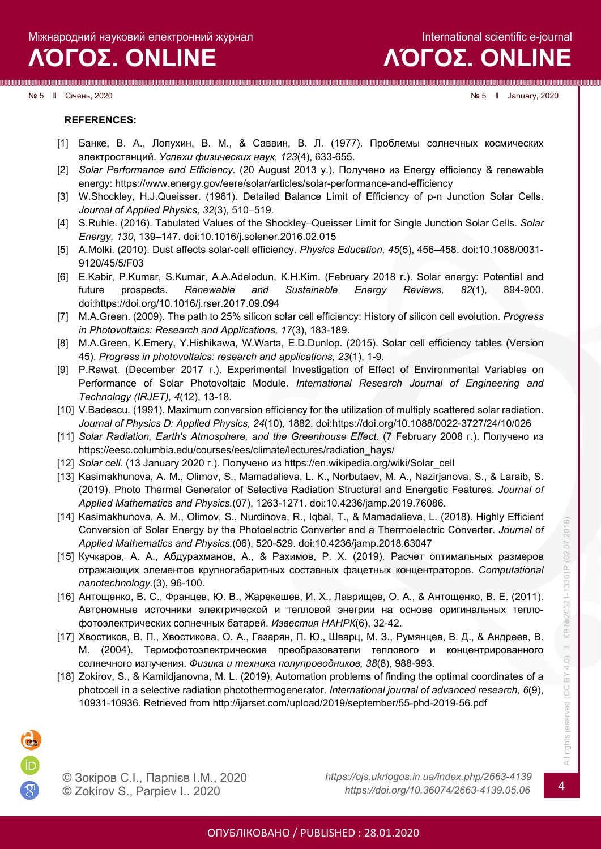# **ΛΌГOΣ. ONLINE**

№ 5 ‖ Січень, 2020 № 5 ‖ January, 2020

**REFERENCES:**

- [1] Банке, В. А., Лопухин, В. М., & Саввин, В. Л. (1977). Проблемы солнечных космических электростанций. *Успехи физическиx наук, 123*(4), 633-655.
- [2] *Solar Performance and Efficiency.* (20 August 2013 y.). Получено из Energy efficiency & renewable energy: https://www.energy.gov/eere/solar/articles/solar-performance-and-efficiency
- [3] W.Shockley, H.J.Queisser. (1961). Detailed Balance Limit of Efficiency of p-n Junction Solar Cells. *Journal of Applied Physics, 32*(3), 510–519.
- [4] S.Ruhle. (2016). Tabulated Values of the Shockley–Queisser Limit for Single Junction Solar Cells. *Solar Energy, 130*, 139–147. doi:10.1016/j.solener.2016.02.015
- [5] A.Molki. (2010). Dust affects solar-cell efficiency. *Physics Education, 45*(5), 456–458. doi:10.1088/0031- 9120/45/5/F03
- [6] E.Kabir, P.Kumar, S.Kumar, A.A.Adelodun, K.H.Kim. (February 2018 г.). Solar energy: Potential and future prospects. *Renewable and Sustainable Energy Reviews, 82*(1), 894-900. doi:https://doi.org/10.1016/j.rser.2017.09.094
- [7] M.A.Green. (2009). The path to 25% silicon solar cell efficiency: History of silicon cell evolution. *Progress in Photovoltaics: Research and Applications, 17*(3), 183-189.
- [8] M.A.Green, K.Emery, Y.Hishikawa, W.Warta, E.D.Dunlop. (2015). Solar cell efficiency tables (Version 45). *Progress in photovoltaics: research and applications, 23*(1), 1-9.
- [9] P.Rawat. (December 2017 г.). Experimental Investigation of Effect of Environmental Variables on Performance of Solar Photovoltaic Module. *International Research Journal of Engineering and Technology (IRJET), 4*(12), 13-18.
- [10] V.Badescu. (1991). Maximum conversion efficiency for the utilization of multiply scattered solar radiation. *Journal of Physics D: Applied Physics, 24*(10), 1882. doi:https://doi.org/10.1088/0022-3727/24/10/026
- [11] *Solar Radiation, Earth's Atmosphere, and the Greenhouse Effect.* (7 February 2008 г.). Получено из https://eesc.columbia.edu/courses/ees/climate/lectures/radiation\_hays/
- [12] *Solar cell.* (13 January 2020 г.). Получено из https://en.wikipedia.org/wiki/Solar\_cell
- [13] Kasimakhunova, A. M., Olimov, S., Mamadalieva, L. K., Norbutaev, M. A., Nazirjanova, S., & Laraib, S. (2019). Photo Thermal Generator of Selective Radiation Structural and Energetic Features. *Journal of Applied Mathematics and Physics.*(07), 1263-1271. doi:10.4236/jamp.2019.76086.
- [14] Kasimakhunova, A. M., Olimov, S., Nurdinova, R., Iqbal, T., & Mamadalieva, L. (2018). Highly Efficient Conversion of Solar Energy by the Photoelectric Converter and a Thermoelectric Converter. *Journal of Applied Mathematics and Physics.*(06), 520-529. doi:10.4236/jamp.2018.63047
- [15] Кучкаров, А. А., Абдурахманов, A., & Рахимов, Р. Х. (2019). Расчет оптимальных размеров отражающих элементов крупногабаритных составных фацетных концентраторов. *Computational nanotechnology.*(3), 96-100.
- [16] Антощенко, В. С., Францев, Ю. В., Жарекешев, И. Х., Лаврищев, О. А., & Антощенко, В. Е. (2011). Автономные источники электрической и тепловой энегрии на основе оригинальных теплофотоэлектрических солнечных батарей. *Известия НАНРК*(6), 32-42.
- [17] Хвостиков, В. П., Хвостикова, О. А., Газарян, П. Ю., Шварц, М. З., Румянцев, В. Д., & Андреев, В. М. (2004). Термофотоэлектрические преобразователи теплового и концентрированного солнечного излучения. *Физика и техника полупроводников, 38*(8), 988-993.
- [18] Zokirov, S., & Kamildjanovna, M. L. (2019). Automation problems of finding the optimal coordinates of a photocell in a selective radiation photothermogenerator. *International journal of advanced research, 6*(9), 10931-10936. Retrieved from [http://ijarset.com/upload/2019/september/55](http://ijarset.com/upload/2019/september/55-phd-2019-56.pdf)-phd-2019-56.pdf

© Зокіров С.І., Парпієв І.М., 2020 *https://ojs.ukrlogos.in.ua/index.php/2663-4139*

© Zokirov S., Parpiev I.. <sup>2020</sup> *https://doi.org/10.36074/2663-4139.05.06* <sup>4</sup>